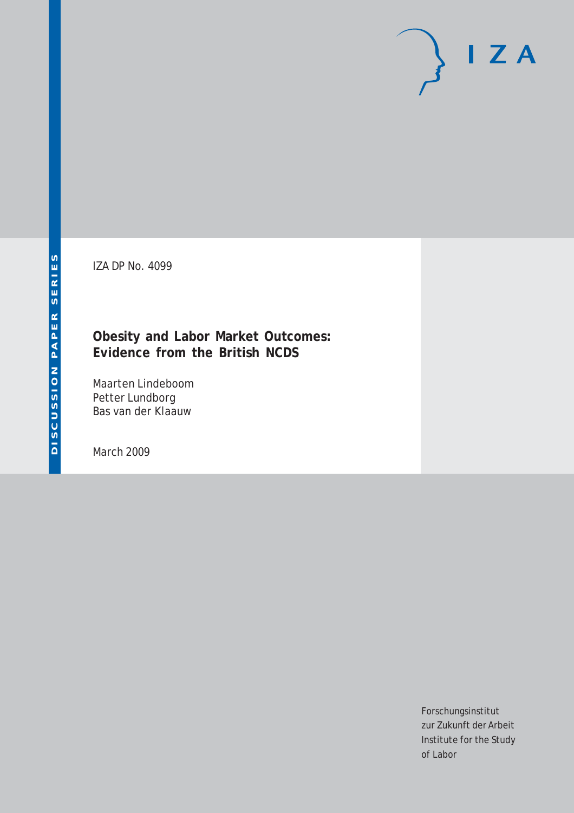IZA DP No. 4099

# **Obesity and Labor Market Outcomes: Evidence from the British NCDS**

Maarten Lindeboom Petter Lundborg Bas van der Klaauw

March 2009

Forschungsinstitut zur Zukunft der Arbeit Institute for the Study of Labor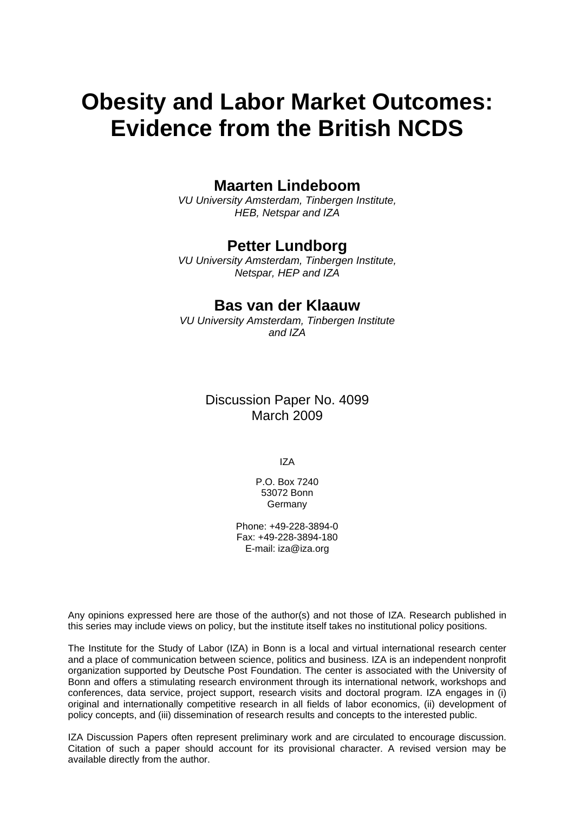# **Obesity and Labor Market Outcomes: Evidence from the British NCDS**

### **Maarten Lindeboom**

*VU University Amsterdam, Tinbergen Institute, HEB, Netspar and IZA* 

### **Petter Lundborg**

*VU University Amsterdam, Tinbergen Institute, Netspar, HEP and IZA* 

### **Bas van der Klaauw**

*VU University Amsterdam, Tinbergen Institute and IZA* 

### Discussion Paper No. 4099 March 2009

IZA

P.O. Box 7240 53072 Bonn Germany

Phone: +49-228-3894-0 Fax: +49-228-3894-180 E-mail: [iza@iza.org](mailto:iza@iza.org)

Any opinions expressed here are those of the author(s) and not those of IZA. Research published in this series may include views on policy, but the institute itself takes no institutional policy positions.

The Institute for the Study of Labor (IZA) in Bonn is a local and virtual international research center and a place of communication between science, politics and business. IZA is an independent nonprofit organization supported by Deutsche Post Foundation. The center is associated with the University of Bonn and offers a stimulating research environment through its international network, workshops and conferences, data service, project support, research visits and doctoral program. IZA engages in (i) original and internationally competitive research in all fields of labor economics, (ii) development of policy concepts, and (iii) dissemination of research results and concepts to the interested public.

IZA Discussion Papers often represent preliminary work and are circulated to encourage discussion. Citation of such a paper should account for its provisional character. A revised version may be available directly from the author.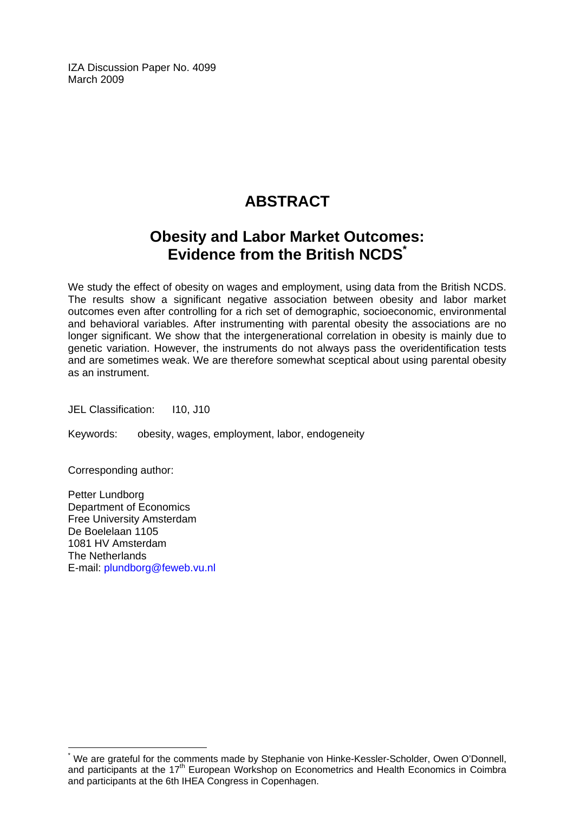IZA Discussion Paper No. 4099 March 2009

# **ABSTRACT**

# **Obesity and Labor Market Outcomes: Evidence from the British NCDS[\\*](#page-2-0)**

We study the effect of obesity on wages and employment, using data from the British NCDS. The results show a significant negative association between obesity and labor market outcomes even after controlling for a rich set of demographic, socioeconomic, environmental and behavioral variables. After instrumenting with parental obesity the associations are no longer significant. We show that the intergenerational correlation in obesity is mainly due to genetic variation. However, the instruments do not always pass the overidentification tests and are sometimes weak. We are therefore somewhat sceptical about using parental obesity as an instrument.

JEL Classification: I10, J10

Keywords: obesity, wages, employment, labor, endogeneity

Corresponding author:

 $\overline{a}$ 

Petter Lundborg Department of Economics Free University Amsterdam De Boelelaan 1105 1081 HV Amsterdam The Netherlands E-mail: [plundborg@feweb.vu.nl](mailto:plundborg@feweb.vu.nl) 

<span id="page-2-0"></span><sup>\*</sup> We are grateful for the comments made by Stephanie von Hinke-Kessler-Scholder, Owen O'Donnell, and participants at the 17<sup>th</sup> European Workshop on Econometrics and Health Economics in Coimbra and participants at the 6th IHEA Congress in Copenhagen.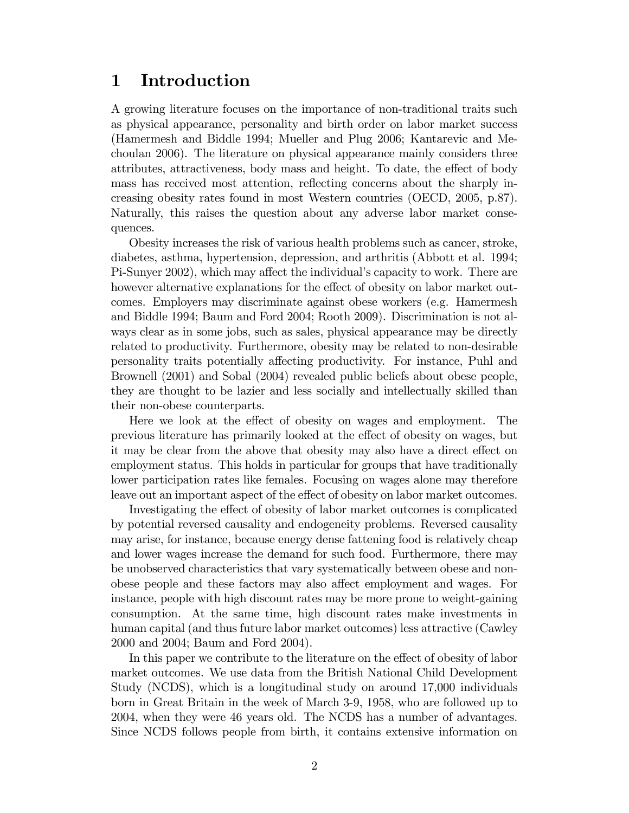# 1 Introduction

A growing literature focuses on the importance of non-traditional traits such as physical appearance, personality and birth order on labor market success (Hamermesh and Biddle 1994; Mueller and Plug 2006; Kantarevic and Mechoulan 2006). The literature on physical appearance mainly considers three attributes, attractiveness, body mass and height. To date, the effect of body mass has received most attention, reflecting concerns about the sharply increasing obesity rates found in most Western countries (OECD, 2005, p.87). Naturally, this raises the question about any adverse labor market consequences.

Obesity increases the risk of various health problems such as cancer, stroke, diabetes, asthma, hypertension, depression, and arthritis (Abbott et al. 1994; Pi-Sunyer 2002), which may affect the individual's capacity to work. There are however alternative explanations for the effect of obesity on labor market outcomes. Employers may discriminate against obese workers (e.g. Hamermesh and Biddle 1994; Baum and Ford 2004; Rooth 2009). Discrimination is not always clear as in some jobs, such as sales, physical appearance may be directly related to productivity. Furthermore, obesity may be related to non-desirable personality traits potentially a§ecting productivity. For instance, Puhl and Brownell (2001) and Sobal (2004) revealed public beliefs about obese people, they are thought to be lazier and less socially and intellectually skilled than their non-obese counterparts.

Here we look at the effect of obesity on wages and employment. The previous literature has primarily looked at the effect of obesity on wages, but it may be clear from the above that obesity may also have a direct effect on employment status. This holds in particular for groups that have traditionally lower participation rates like females. Focusing on wages alone may therefore leave out an important aspect of the effect of obesity on labor market outcomes.

Investigating the effect of obesity of labor market outcomes is complicated by potential reversed causality and endogeneity problems. Reversed causality may arise, for instance, because energy dense fattening food is relatively cheap and lower wages increase the demand for such food. Furthermore, there may be unobserved characteristics that vary systematically between obese and nonobese people and these factors may also affect employment and wages. For instance, people with high discount rates may be more prone to weight-gaining consumption. At the same time, high discount rates make investments in human capital (and thus future labor market outcomes) less attractive (Cawley 2000 and 2004; Baum and Ford 2004).

In this paper we contribute to the literature on the effect of obesity of labor market outcomes. We use data from the British National Child Development Study (NCDS), which is a longitudinal study on around 17,000 individuals born in Great Britain in the week of March 3-9, 1958, who are followed up to 2004, when they were 46 years old. The NCDS has a number of advantages. Since NCDS follows people from birth, it contains extensive information on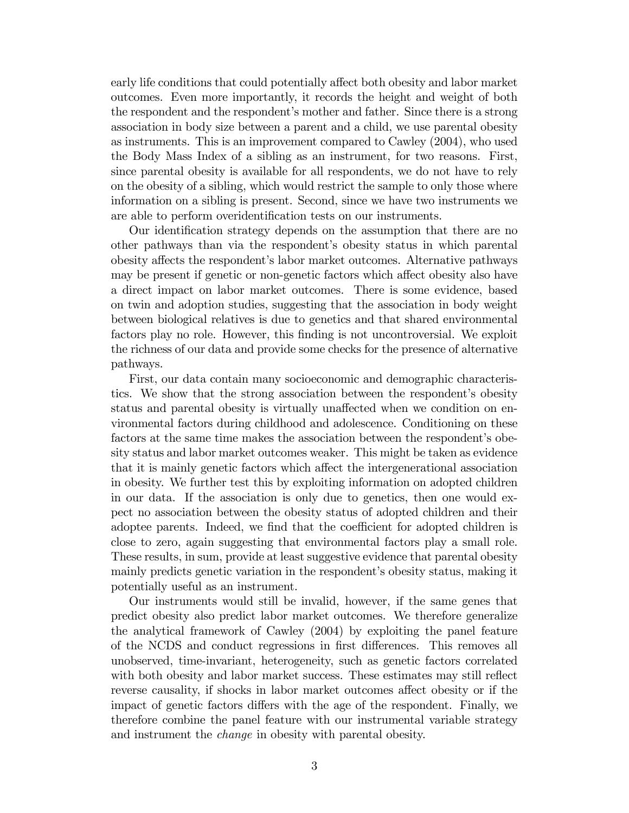early life conditions that could potentially affect both obesity and labor market outcomes. Even more importantly, it records the height and weight of both the respondent and the respondent's mother and father. Since there is a strong association in body size between a parent and a child, we use parental obesity as instruments. This is an improvement compared to Cawley (2004), who used the Body Mass Index of a sibling as an instrument, for two reasons. First, since parental obesity is available for all respondents, we do not have to rely on the obesity of a sibling, which would restrict the sample to only those where information on a sibling is present. Second, since we have two instruments we are able to perform overidentification tests on our instruments.

Our identification strategy depends on the assumption that there are no other pathways than via the respondentís obesity status in which parental obesity affects the respondent's labor market outcomes. Alternative pathways may be present if genetic or non-genetic factors which affect obesity also have a direct impact on labor market outcomes. There is some evidence, based on twin and adoption studies, suggesting that the association in body weight between biological relatives is due to genetics and that shared environmental factors play no role. However, this Önding is not uncontroversial. We exploit the richness of our data and provide some checks for the presence of alternative pathways.

First, our data contain many socioeconomic and demographic characteristics. We show that the strong association between the respondent's obesity status and parental obesity is virtually unaffected when we condition on environmental factors during childhood and adolescence. Conditioning on these factors at the same time makes the association between the respondent's obesity status and labor market outcomes weaker. This might be taken as evidence that it is mainly genetic factors which affect the intergenerational association in obesity. We further test this by exploiting information on adopted children in our data. If the association is only due to genetics, then one would expect no association between the obesity status of adopted children and their adoptee parents. Indeed, we find that the coefficient for adopted children is close to zero, again suggesting that environmental factors play a small role. These results, in sum, provide at least suggestive evidence that parental obesity mainly predicts genetic variation in the respondent's obesity status, making it potentially useful as an instrument.

Our instruments would still be invalid, however, if the same genes that predict obesity also predict labor market outcomes. We therefore generalize the analytical framework of Cawley (2004) by exploiting the panel feature of the NCDS and conduct regressions in first differences. This removes all unobserved, time-invariant, heterogeneity, such as genetic factors correlated with both obesity and labor market success. These estimates may still reflect reverse causality, if shocks in labor market outcomes affect obesity or if the impact of genetic factors differs with the age of the respondent. Finally, we therefore combine the panel feature with our instrumental variable strategy and instrument the change in obesity with parental obesity.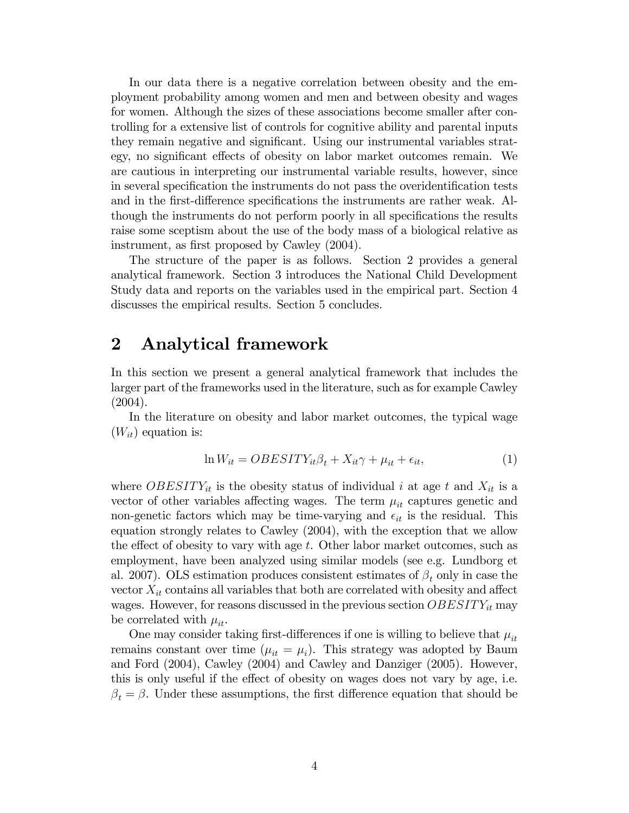In our data there is a negative correlation between obesity and the employment probability among women and men and between obesity and wages for women. Although the sizes of these associations become smaller after controlling for a extensive list of controls for cognitive ability and parental inputs they remain negative and significant. Using our instrumental variables strategy, no significant effects of obesity on labor market outcomes remain. We are cautious in interpreting our instrumental variable results, however, since in several specification the instruments do not pass the overidentification tests and in the first-difference specifications the instruments are rather weak. Although the instruments do not perform poorly in all specifications the results raise some sceptism about the use of the body mass of a biological relative as instrument, as first proposed by Cawley (2004).

The structure of the paper is as follows. Section 2 provides a general analytical framework. Section 3 introduces the National Child Development Study data and reports on the variables used in the empirical part. Section 4 discusses the empirical results. Section 5 concludes.

### 2 Analytical framework

In this section we present a general analytical framework that includes the larger part of the frameworks used in the literature, such as for example Cawley (2004).

In the literature on obesity and labor market outcomes, the typical wage  $(W_{it})$  equation is:

$$
\ln W_{it} = OBESITY_{it}\beta_t + X_{it}\gamma + \mu_{it} + \epsilon_{it},\tag{1}
$$

where *OBESITY<sub>it</sub>* is the obesity status of individual i at age t and  $X_{it}$  is a vector of other variables affecting wages. The term  $\mu_{it}$  captures genetic and non-genetic factors which may be time-varying and  $\epsilon_{it}$  is the residual. This equation strongly relates to Cawley (2004), with the exception that we allow the effect of obesity to vary with age  $t$ . Other labor market outcomes, such as employment, have been analyzed using similar models (see e.g. Lundborg et al. 2007). OLS estimation produces consistent estimates of  $\beta_t$  only in case the vector  $X_{it}$  contains all variables that both are correlated with obesity and affect wages. However, for reasons discussed in the previous section  $OBESITY_{it}$  may be correlated with  $\mu_{it}$ .

One may consider taking first-differences if one is willing to believe that  $\mu_{it}$ remains constant over time  $(\mu_{it} = \mu_i)$ . This strategy was adopted by Baum and Ford (2004), Cawley (2004) and Cawley and Danziger (2005). However, this is only useful if the effect of obesity on wages does not vary by age, i.e.  $\beta_t = \beta$ . Under these assumptions, the first difference equation that should be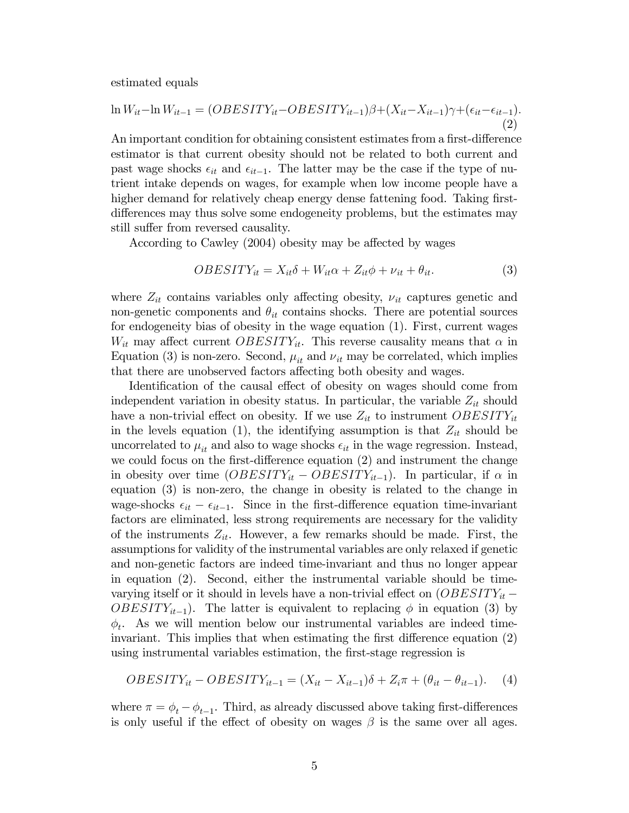estimated equals

$$
\ln W_{it} - \ln W_{it-1} = (OBESITY_{it} - OBESITY_{it-1})\beta + (X_{it} - X_{it-1})\gamma + (\epsilon_{it} - \epsilon_{it-1}).
$$
\n(2)

An important condition for obtaining consistent estimates from a first-difference estimator is that current obesity should not be related to both current and past wage shocks  $\epsilon_{it}$  and  $\epsilon_{it-1}$ . The latter may be the case if the type of nutrient intake depends on wages, for example when low income people have a higher demand for relatively cheap energy dense fattening food. Taking firstdifferences may thus solve some endogeneity problems, but the estimates may still suffer from reversed causality.

According to Cawley (2004) obesity may be affected by wages

$$
OBESITY_{it} = X_{it}\delta + W_{it}\alpha + Z_{it}\phi + \nu_{it} + \theta_{it}.
$$
\n(3)

where  $Z_{it}$  contains variables only affecting obesity,  $\nu_{it}$  captures genetic and non-genetic components and  $\theta_{it}$  contains shocks. There are potential sources for endogeneity bias of obesity in the wage equation (1). First, current wages  $W_{it}$  may affect current  $OBESITY_{it}$ . This reverse causality means that  $\alpha$  in Equation (3) is non-zero. Second,  $\mu_{it}$  and  $\nu_{it}$  may be correlated, which implies that there are unobserved factors affecting both obesity and wages.

Identification of the causal effect of obesity on wages should come from independent variation in obesity status. In particular, the variable  $Z_{it}$  should have a non-trivial effect on obesity. If we use  $Z_{it}$  to instrument  $OBESITY_{it}$ in the levels equation (1), the identifying assumption is that  $Z_{it}$  should be uncorrelated to  $\mu_{it}$  and also to wage shocks  $\epsilon_{it}$  in the wage regression. Instead, we could focus on the first-difference equation  $(2)$  and instrument the change in obesity over time  $(OBESTY_{it} - OBESTY_{it-1})$ . In particular, if  $\alpha$  in equation (3) is non-zero, the change in obesity is related to the change in wage-shocks  $\epsilon_{it} - \epsilon_{it-1}$ . Since in the first-difference equation time-invariant factors are eliminated, less strong requirements are necessary for the validity of the instruments  $Z_{it}$ . However, a few remarks should be made. First, the assumptions for validity of the instrumental variables are only relaxed if genetic and non-genetic factors are indeed time-invariant and thus no longer appear in equation (2). Second, either the instrumental variable should be timevarying itself or it should in levels have a non-trivial effect on  $(OBESTY_{it}$  $OBESITY_{it-1}$ . The latter is equivalent to replacing  $\phi$  in equation (3) by  $\phi_t$ . As we will mention below our instrumental variables are indeed timeinvariant. This implies that when estimating the first difference equation  $(2)$ using instrumental variables estimation, the first-stage regression is

$$
OBESTY_{it} - OBESTY_{it-1} = (X_{it} - X_{it-1})\delta + Z_i \pi + (\theta_{it} - \theta_{it-1}).
$$
 (4)

where  $\pi = \phi_t - \phi_{t-1}$ . Third, as already discussed above taking first-differences is only useful if the effect of obesity on wages  $\beta$  is the same over all ages.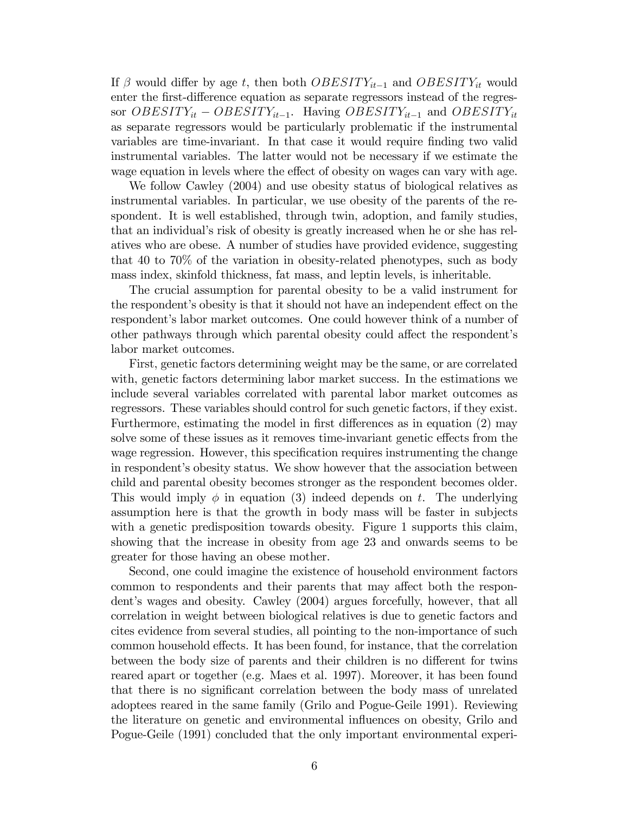If  $\beta$  would differ by age t, then both  $OBESITY_{it-1}$  and  $OBESITY_{it}$  would enter the first-difference equation as separate regressors instead of the regressor  $OBESITY_{it} - OBESITY_{it-1}$ . Having  $OBESITY_{it-1}$  and  $OBESITY_{it}$ as separate regressors would be particularly problematic if the instrumental variables are time-invariant. In that case it would require Önding two valid instrumental variables. The latter would not be necessary if we estimate the wage equation in levels where the effect of obesity on wages can vary with age.

We follow Cawley (2004) and use obesity status of biological relatives as instrumental variables. In particular, we use obesity of the parents of the respondent. It is well established, through twin, adoption, and family studies, that an individual's risk of obesity is greatly increased when he or she has relatives who are obese. A number of studies have provided evidence, suggesting that 40 to 70% of the variation in obesity-related phenotypes, such as body mass index, skinfold thickness, fat mass, and leptin levels, is inheritable.

The crucial assumption for parental obesity to be a valid instrument for the respondent's obesity is that it should not have an independent effect on the respondent's labor market outcomes. One could however think of a number of other pathways through which parental obesity could affect the respondent's labor market outcomes.

First, genetic factors determining weight may be the same, or are correlated with, genetic factors determining labor market success. In the estimations we include several variables correlated with parental labor market outcomes as regressors. These variables should control for such genetic factors, if they exist. Furthermore, estimating the model in first differences as in equation  $(2)$  may solve some of these issues as it removes time-invariant genetic effects from the wage regression. However, this specification requires instrumenting the change in respondent's obesity status. We show however that the association between child and parental obesity becomes stronger as the respondent becomes older. This would imply  $\phi$  in equation (3) indeed depends on t. The underlying assumption here is that the growth in body mass will be faster in subjects with a genetic predisposition towards obesity. Figure 1 supports this claim, showing that the increase in obesity from age 23 and onwards seems to be greater for those having an obese mother.

Second, one could imagine the existence of household environment factors common to respondents and their parents that may affect both the respondent's wages and obesity. Cawley (2004) argues forcefully, however, that all correlation in weight between biological relatives is due to genetic factors and cites evidence from several studies, all pointing to the non-importance of such common household effects. It has been found, for instance, that the correlation between the body size of parents and their children is no different for twins reared apart or together (e.g. Maes et al. 1997). Moreover, it has been found that there is no significant correlation between the body mass of unrelated adoptees reared in the same family (Grilo and Pogue-Geile 1991). Reviewing the literature on genetic and environmental ináuences on obesity, Grilo and Pogue-Geile (1991) concluded that the only important environmental experi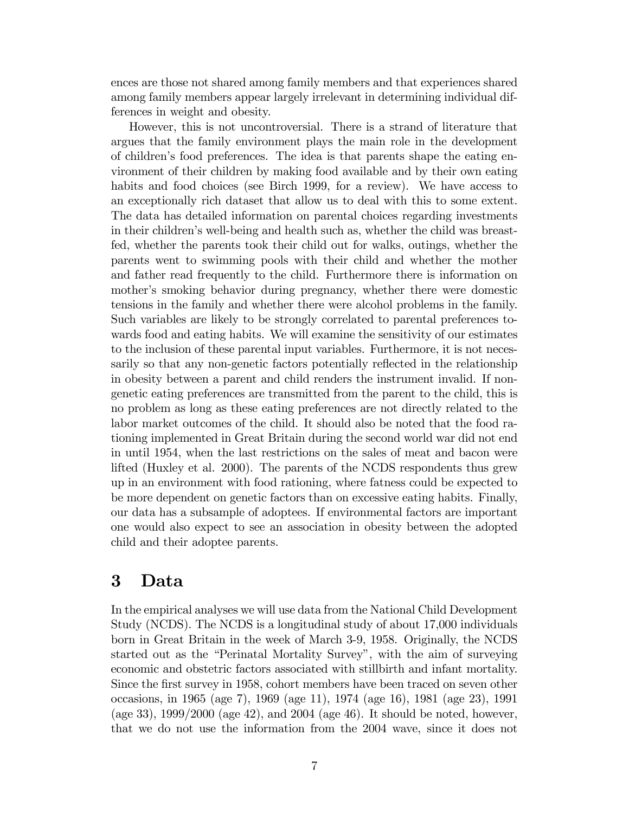ences are those not shared among family members and that experiences shared among family members appear largely irrelevant in determining individual differences in weight and obesity.

However, this is not uncontroversial. There is a strand of literature that argues that the family environment plays the main role in the development of childrenís food preferences. The idea is that parents shape the eating environment of their children by making food available and by their own eating habits and food choices (see Birch 1999, for a review). We have access to an exceptionally rich dataset that allow us to deal with this to some extent. The data has detailed information on parental choices regarding investments in their children's well-being and health such as, whether the child was breastfed, whether the parents took their child out for walks, outings, whether the parents went to swimming pools with their child and whether the mother and father read frequently to the child. Furthermore there is information on mother's smoking behavior during pregnancy, whether there were domestic tensions in the family and whether there were alcohol problems in the family. Such variables are likely to be strongly correlated to parental preferences towards food and eating habits. We will examine the sensitivity of our estimates to the inclusion of these parental input variables. Furthermore, it is not necessarily so that any non-genetic factors potentially reflected in the relationship in obesity between a parent and child renders the instrument invalid. If nongenetic eating preferences are transmitted from the parent to the child, this is no problem as long as these eating preferences are not directly related to the labor market outcomes of the child. It should also be noted that the food rationing implemented in Great Britain during the second world war did not end in until 1954, when the last restrictions on the sales of meat and bacon were lifted (Huxley et al. 2000). The parents of the NCDS respondents thus grew up in an environment with food rationing, where fatness could be expected to be more dependent on genetic factors than on excessive eating habits. Finally, our data has a subsample of adoptees. If environmental factors are important one would also expect to see an association in obesity between the adopted child and their adoptee parents.

# 3 Data

In the empirical analyses we will use data from the National Child Development Study (NCDS). The NCDS is a longitudinal study of about 17,000 individuals born in Great Britain in the week of March 3-9, 1958. Originally, the NCDS started out as the "Perinatal Mortality Survey", with the aim of surveying economic and obstetric factors associated with stillbirth and infant mortality. Since the first survey in 1958, cohort members have been traced on seven other occasions, in 1965 (age 7), 1969 (age 11), 1974 (age 16), 1981 (age 23), 1991 (age 33), 1999/2000 (age 42), and 2004 (age 46). It should be noted, however, that we do not use the information from the 2004 wave, since it does not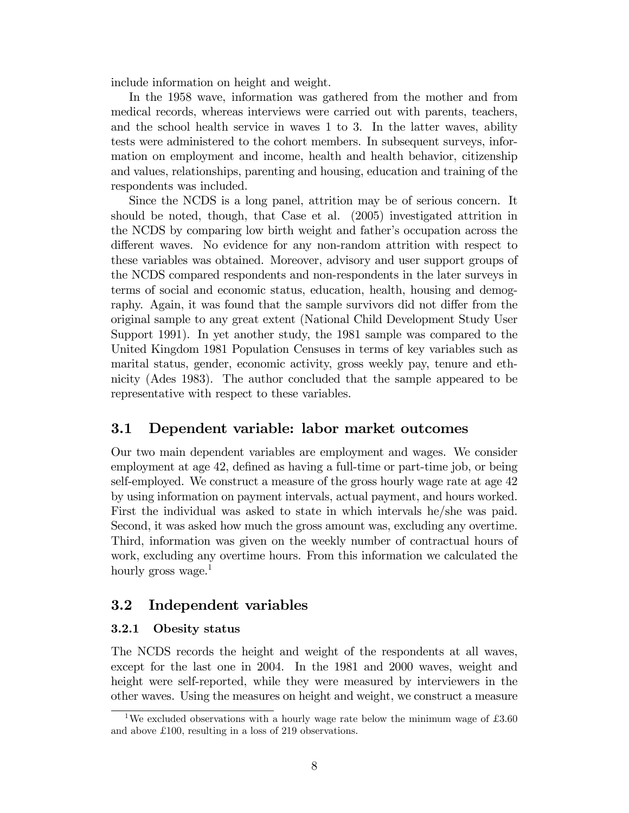include information on height and weight.

In the 1958 wave, information was gathered from the mother and from medical records, whereas interviews were carried out with parents, teachers, and the school health service in waves 1 to 3. In the latter waves, ability tests were administered to the cohort members. In subsequent surveys, information on employment and income, health and health behavior, citizenship and values, relationships, parenting and housing, education and training of the respondents was included.

Since the NCDS is a long panel, attrition may be of serious concern. It should be noted, though, that Case et al. (2005) investigated attrition in the NCDS by comparing low birth weight and father's occupation across the different waves. No evidence for any non-random attrition with respect to these variables was obtained. Moreover, advisory and user support groups of the NCDS compared respondents and non-respondents in the later surveys in terms of social and economic status, education, health, housing and demography. Again, it was found that the sample survivors did not differ from the original sample to any great extent (National Child Development Study User Support 1991). In yet another study, the 1981 sample was compared to the United Kingdom 1981 Population Censuses in terms of key variables such as marital status, gender, economic activity, gross weekly pay, tenure and ethnicity (Ades 1983). The author concluded that the sample appeared to be representative with respect to these variables.

### 3.1 Dependent variable: labor market outcomes

Our two main dependent variables are employment and wages. We consider employment at age 42, defined as having a full-time or part-time job, or being self-employed. We construct a measure of the gross hourly wage rate at age 42 by using information on payment intervals, actual payment, and hours worked. First the individual was asked to state in which intervals he/she was paid. Second, it was asked how much the gross amount was, excluding any overtime. Third, information was given on the weekly number of contractual hours of work, excluding any overtime hours. From this information we calculated the hourly gross wage. $<sup>1</sup>$ </sup>

#### 3.2 Independent variables

#### 3.2.1 Obesity status

The NCDS records the height and weight of the respondents at all waves, except for the last one in 2004. In the 1981 and 2000 waves, weight and height were self-reported, while they were measured by interviewers in the other waves. Using the measures on height and weight, we construct a measure

<sup>&</sup>lt;sup>1</sup>We excluded observations with a hourly wage rate below the minimum wage of  $\pounds 3.60$ and above  $£100$ , resulting in a loss of 219 observations.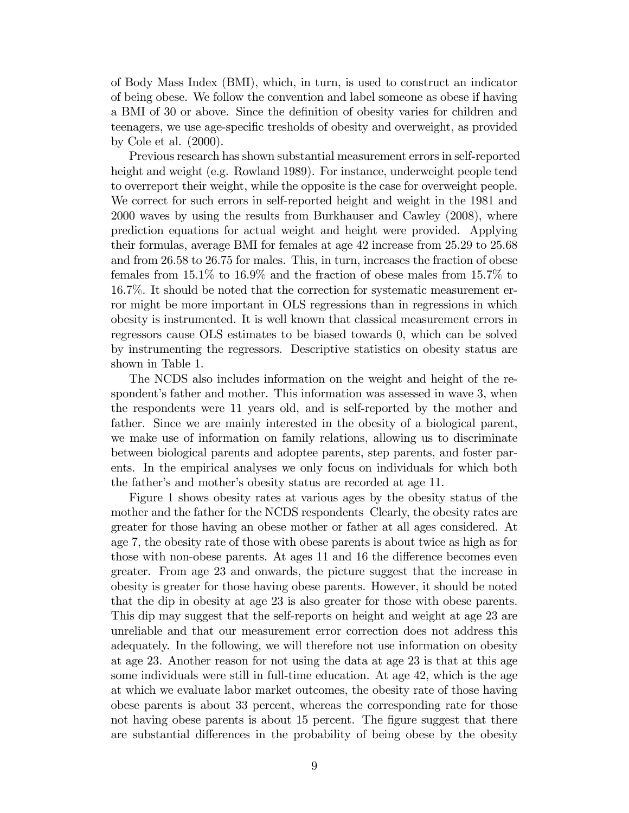of Body Mass Index (BMI), which, in turn, is used to construct an indicator of being obese. We follow the convention and label someone as obese if having a BMI of 30 or above. Since the definition of obesity varies for children and teenagers, we use age-specific tresholds of obesity and overweight, as provided by Cole et al. (2000).

Previous research has shown substantial measurement errors in self-reported height and weight (e.g. Rowland 1989). For instance, underweight people tend to overreport their weight, while the opposite is the case for overweight people. We correct for such errors in self-reported height and weight in the 1981 and 2000 waves by using the results from Burkhauser and Cawley (2008), where prediction equations for actual weight and height were provided. Applying their formulas, average BMI for females at age 42 increase from 25.29 to 25.68 and from 26.58 to 26.75 for males. This, in turn, increases the fraction of obese females from 15.1% to 16.9% and the fraction of obese males from 15.7% to 16.7%. It should be noted that the correction for systematic measurement error might be more important in OLS regressions than in regressions in which obesity is instrumented. It is well known that classical measurement errors in regressors cause OLS estimates to be biased towards 0, which can be solved by instrumenting the regressors. Descriptive statistics on obesity status are shown in Table 1.

The NCDS also includes information on the weight and height of the respondent's father and mother. This information was assessed in wave 3, when the respondents were 11 years old, and is self-reported by the mother and father. Since we are mainly interested in the obesity of a biological parent, we make use of information on family relations, allowing us to discriminate between biological parents and adoptee parents, step parents, and foster parents. In the empirical analyses we only focus on individuals for which both the father's and mother's obesity status are recorded at age 11.

Figure 1 shows obesity rates at various ages by the obesity status of the mother and the father for the NCDS respondents Clearly, the obesity rates are greater for those having an obese mother or father at all ages considered. At age 7, the obesity rate of those with obese parents is about twice as high as for those with non-obese parents. At ages 11 and 16 the difference becomes even greater. From age 23 and onwards, the picture suggest that the increase in obesity is greater for those having obese parents. However, it should be noted that the dip in obesity at age 23 is also greater for those with obese parents. This dip may suggest that the self-reports on height and weight at age 23 are unreliable and that our measurement error correction does not address this adequately. In the following, we will therefore not use information on obesity at age 23. Another reason for not using the data at age 23 is that at this age some individuals were still in full-time education. At age 42, which is the age at which we evaluate labor market outcomes, the obesity rate of those having obese parents is about 33 percent, whereas the corresponding rate for those not having obese parents is about 15 percent. The figure suggest that there are substantial differences in the probability of being obese by the obesity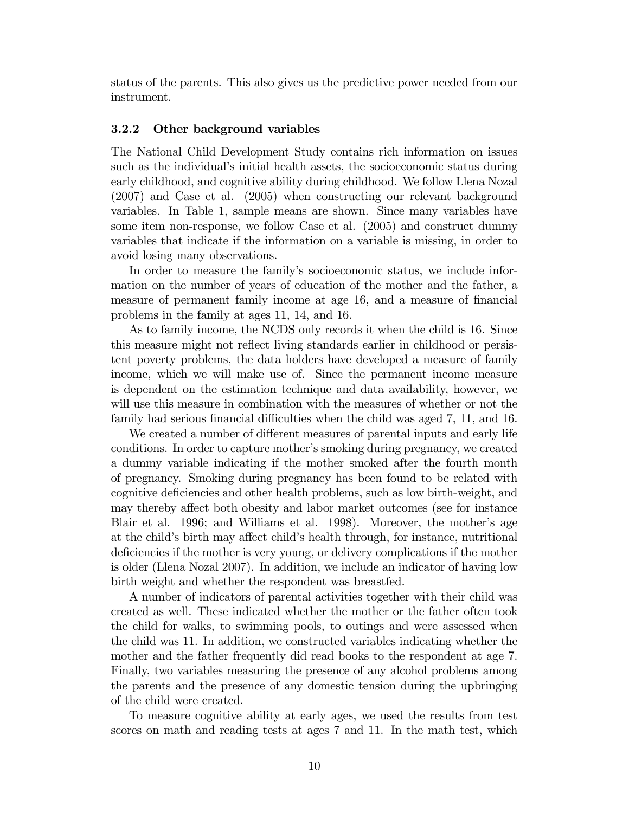status of the parents. This also gives us the predictive power needed from our instrument.

#### 3.2.2 Other background variables

The National Child Development Study contains rich information on issues such as the individual's initial health assets, the socioeconomic status during early childhood, and cognitive ability during childhood. We follow Llena Nozal (2007) and Case et al. (2005) when constructing our relevant background variables. In Table 1, sample means are shown. Since many variables have some item non-response, we follow Case et al. (2005) and construct dummy variables that indicate if the information on a variable is missing, in order to avoid losing many observations.

In order to measure the family's socioeconomic status, we include information on the number of years of education of the mother and the father, a measure of permanent family income at age 16, and a measure of financial problems in the family at ages 11, 14, and 16.

As to family income, the NCDS only records it when the child is 16. Since this measure might not reflect living standards earlier in childhood or persistent poverty problems, the data holders have developed a measure of family income, which we will make use of. Since the permanent income measure is dependent on the estimation technique and data availability, however, we will use this measure in combination with the measures of whether or not the family had serious financial difficulties when the child was aged 7, 11, and 16.

We created a number of different measures of parental inputs and early life conditions. In order to capture mother's smoking during pregnancy, we created a dummy variable indicating if the mother smoked after the fourth month of pregnancy. Smoking during pregnancy has been found to be related with cognitive deficiencies and other health problems, such as low birth-weight, and may thereby affect both obesity and labor market outcomes (see for instance Blair et al. 1996; and Williams et al. 1998). Moreover, the mother's age at the child's birth may affect child's health through, for instance, nutritional deficiencies if the mother is very young, or delivery complications if the mother is older (Llena Nozal 2007). In addition, we include an indicator of having low birth weight and whether the respondent was breastfed.

A number of indicators of parental activities together with their child was created as well. These indicated whether the mother or the father often took the child for walks, to swimming pools, to outings and were assessed when the child was 11. In addition, we constructed variables indicating whether the mother and the father frequently did read books to the respondent at age 7. Finally, two variables measuring the presence of any alcohol problems among the parents and the presence of any domestic tension during the upbringing of the child were created.

To measure cognitive ability at early ages, we used the results from test scores on math and reading tests at ages 7 and 11. In the math test, which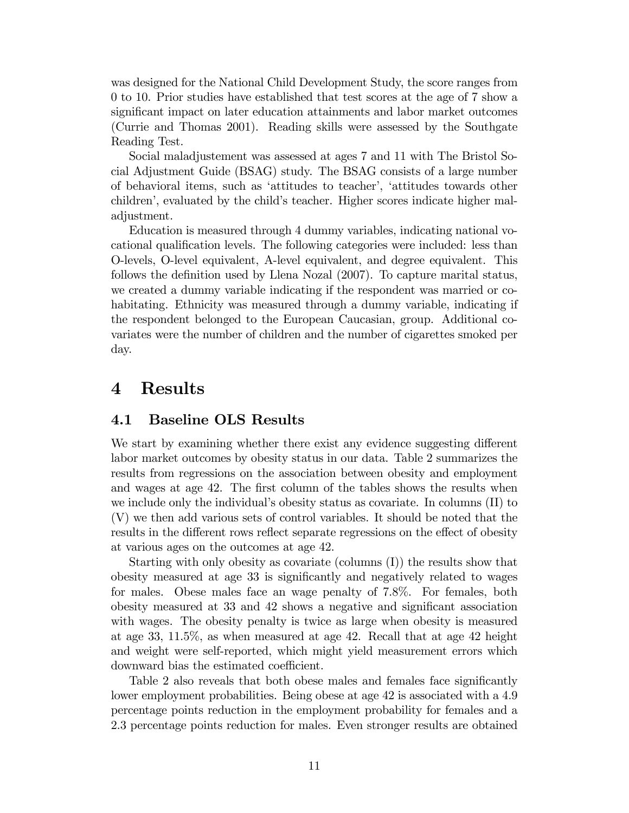was designed for the National Child Development Study, the score ranges from 0 to 10. Prior studies have established that test scores at the age of 7 show a significant impact on later education attainments and labor market outcomes (Currie and Thomas 2001). Reading skills were assessed by the Southgate Reading Test.

Social maladjustement was assessed at ages 7 and 11 with The Bristol Social Adjustment Guide (BSAG) study. The BSAG consists of a large number of behavioral items, such as ëattitudes to teacherí, ëattitudes towards other childrení, evaluated by the childís teacher. Higher scores indicate higher maladjustment.

Education is measured through 4 dummy variables, indicating national vocational qualification levels. The following categories were included: less than O-levels, O-level equivalent, A-level equivalent, and degree equivalent. This follows the definition used by Llena Nozal (2007). To capture marital status, we created a dummy variable indicating if the respondent was married or cohabitating. Ethnicity was measured through a dummy variable, indicating if the respondent belonged to the European Caucasian, group. Additional covariates were the number of children and the number of cigarettes smoked per day.

# 4 Results

### 4.1 Baseline OLS Results

We start by examining whether there exist any evidence suggesting different labor market outcomes by obesity status in our data. Table 2 summarizes the results from regressions on the association between obesity and employment and wages at age 42. The first column of the tables shows the results when we include only the individual's obesity status as covariate. In columns (II) to (V) we then add various sets of control variables. It should be noted that the results in the different rows reflect separate regressions on the effect of obesity at various ages on the outcomes at age 42.

Starting with only obesity as covariate (columns (I)) the results show that obesity measured at age 33 is significantly and negatively related to wages for males. Obese males face an wage penalty of 7.8%. For females, both obesity measured at 33 and 42 shows a negative and significant association with wages. The obesity penalty is twice as large when obesity is measured at age 33, 11.5%, as when measured at age 42. Recall that at age 42 height and weight were self-reported, which might yield measurement errors which downward bias the estimated coefficient.

Table 2 also reveals that both obese males and females face significantly lower employment probabilities. Being obese at age 42 is associated with a 4.9 percentage points reduction in the employment probability for females and a 2.3 percentage points reduction for males. Even stronger results are obtained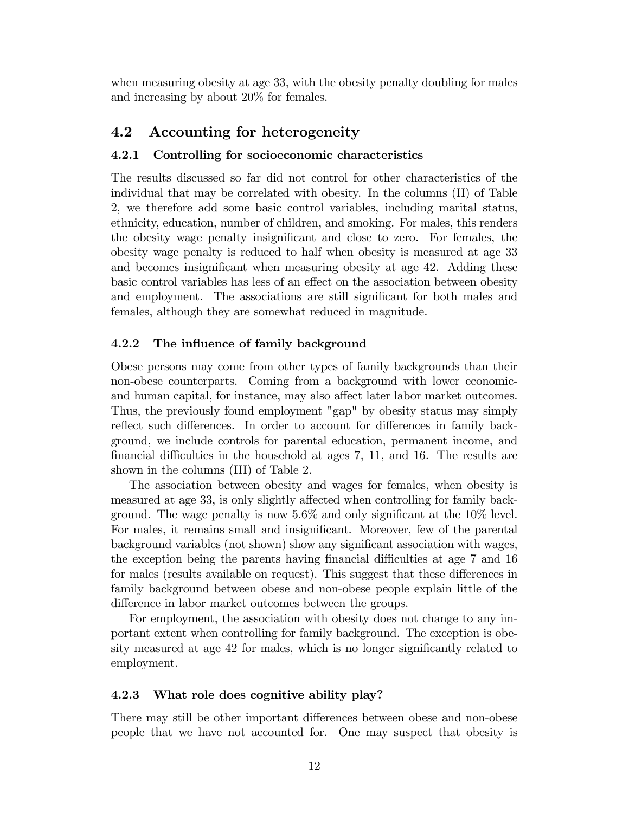when measuring obesity at age 33, with the obesity penalty doubling for males and increasing by about 20% for females.

#### 4.2 Accounting for heterogeneity

#### 4.2.1 Controlling for socioeconomic characteristics

The results discussed so far did not control for other characteristics of the individual that may be correlated with obesity. In the columns (II) of Table 2, we therefore add some basic control variables, including marital status, ethnicity, education, number of children, and smoking. For males, this renders the obesity wage penalty insignificant and close to zero. For females, the obesity wage penalty is reduced to half when obesity is measured at age 33 and becomes insignificant when measuring obesity at age 42. Adding these basic control variables has less of an effect on the association between obesity and employment. The associations are still significant for both males and females, although they are somewhat reduced in magnitude.

#### 4.2.2 The influence of family background

Obese persons may come from other types of family backgrounds than their non-obese counterparts. Coming from a background with lower economicand human capital, for instance, may also affect later labor market outcomes. Thus, the previously found employment "gap" by obesity status may simply reflect such differences. In order to account for differences in family background, we include controls for parental education, permanent income, and financial difficulties in the household at ages  $7, 11,$  and  $16$ . The results are shown in the columns (III) of Table 2.

The association between obesity and wages for females, when obesity is measured at age 33, is only slightly affected when controlling for family background. The wage penalty is now  $5.6\%$  and only significant at the  $10\%$  level. For males, it remains small and insignificant. Moreover, few of the parental background variables (not shown) show any significant association with wages, the exception being the parents having financial difficulties at age 7 and 16 for males (results available on request). This suggest that these differences in family background between obese and non-obese people explain little of the difference in labor market outcomes between the groups.

For employment, the association with obesity does not change to any important extent when controlling for family background. The exception is obesity measured at age 42 for males, which is no longer significantly related to employment.

#### 4.2.3 What role does cognitive ability play?

There may still be other important differences between obese and non-obese people that we have not accounted for. One may suspect that obesity is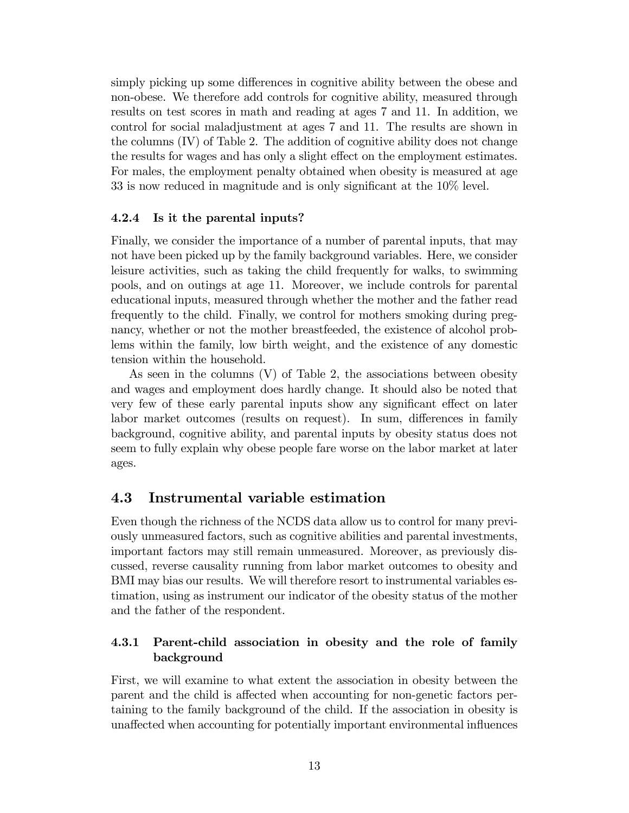simply picking up some differences in cognitive ability between the obese and non-obese. We therefore add controls for cognitive ability, measured through results on test scores in math and reading at ages 7 and 11. In addition, we control for social maladjustment at ages 7 and 11. The results are shown in the columns (IV) of Table 2. The addition of cognitive ability does not change the results for wages and has only a slight effect on the employment estimates. For males, the employment penalty obtained when obesity is measured at age  $33$  is now reduced in magnitude and is only significant at the  $10\%$  level.

#### 4.2.4 Is it the parental inputs?

Finally, we consider the importance of a number of parental inputs, that may not have been picked up by the family background variables. Here, we consider leisure activities, such as taking the child frequently for walks, to swimming pools, and on outings at age 11. Moreover, we include controls for parental educational inputs, measured through whether the mother and the father read frequently to the child. Finally, we control for mothers smoking during pregnancy, whether or not the mother breastfeeded, the existence of alcohol problems within the family, low birth weight, and the existence of any domestic tension within the household.

As seen in the columns (V) of Table 2, the associations between obesity and wages and employment does hardly change. It should also be noted that very few of these early parental inputs show any significant effect on later labor market outcomes (results on request). In sum, differences in family background, cognitive ability, and parental inputs by obesity status does not seem to fully explain why obese people fare worse on the labor market at later ages.

### 4.3 Instrumental variable estimation

Even though the richness of the NCDS data allow us to control for many previously unmeasured factors, such as cognitive abilities and parental investments, important factors may still remain unmeasured. Moreover, as previously discussed, reverse causality running from labor market outcomes to obesity and BMI may bias our results. We will therefore resort to instrumental variables estimation, using as instrument our indicator of the obesity status of the mother and the father of the respondent.

### 4.3.1 Parent-child association in obesity and the role of family background

First, we will examine to what extent the association in obesity between the parent and the child is affected when accounting for non-genetic factors pertaining to the family background of the child. If the association in obesity is unaffected when accounting for potentially important environmental influences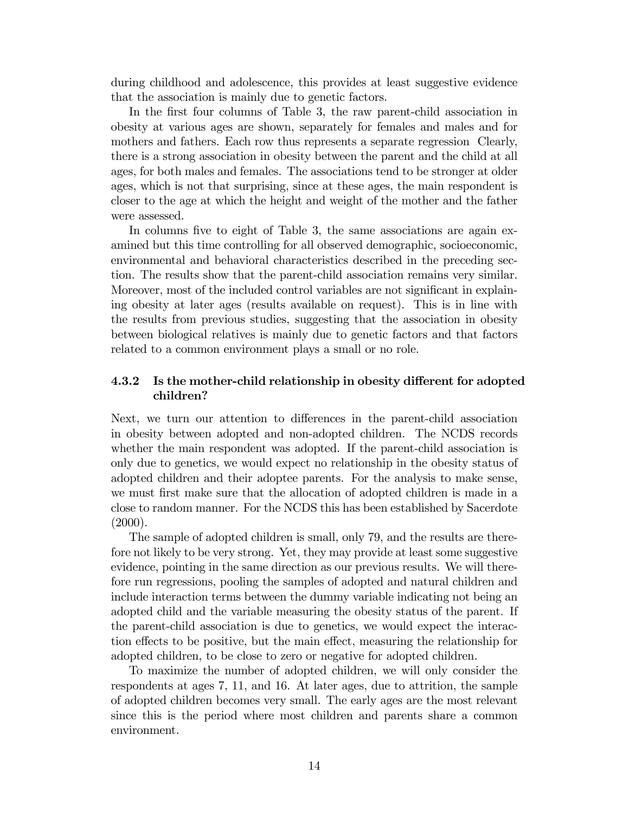during childhood and adolescence, this provides at least suggestive evidence that the association is mainly due to genetic factors.

In the first four columns of Table 3, the raw parent-child association in obesity at various ages are shown, separately for females and males and for mothers and fathers. Each row thus represents a separate regression Clearly, there is a strong association in obesity between the parent and the child at all ages, for both males and females. The associations tend to be stronger at older ages, which is not that surprising, since at these ages, the main respondent is closer to the age at which the height and weight of the mother and the father were assessed.

In columns five to eight of Table 3, the same associations are again examined but this time controlling for all observed demographic, socioeconomic, environmental and behavioral characteristics described in the preceding section. The results show that the parent-child association remains very similar. Moreover, most of the included control variables are not significant in explaining obesity at later ages (results available on request). This is in line with the results from previous studies, suggesting that the association in obesity between biological relatives is mainly due to genetic factors and that factors related to a common environment plays a small or no role.

#### 4.3.2 Is the mother-child relationship in obesity different for adopted children?

Next, we turn our attention to differences in the parent-child association in obesity between adopted and non-adopted children. The NCDS records whether the main respondent was adopted. If the parent-child association is only due to genetics, we would expect no relationship in the obesity status of adopted children and their adoptee parents. For the analysis to make sense, we must first make sure that the allocation of adopted children is made in a close to random manner. For the NCDS this has been established by Sacerdote  $(2000)$ .

The sample of adopted children is small, only 79, and the results are therefore not likely to be very strong. Yet, they may provide at least some suggestive evidence, pointing in the same direction as our previous results. We will therefore run regressions, pooling the samples of adopted and natural children and include interaction terms between the dummy variable indicating not being an adopted child and the variable measuring the obesity status of the parent. If the parent-child association is due to genetics, we would expect the interaction effects to be positive, but the main effect, measuring the relationship for adopted children, to be close to zero or negative for adopted children.

To maximize the number of adopted children, we will only consider the respondents at ages 7, 11, and 16. At later ages, due to attrition, the sample of adopted children becomes very small. The early ages are the most relevant since this is the period where most children and parents share a common environment.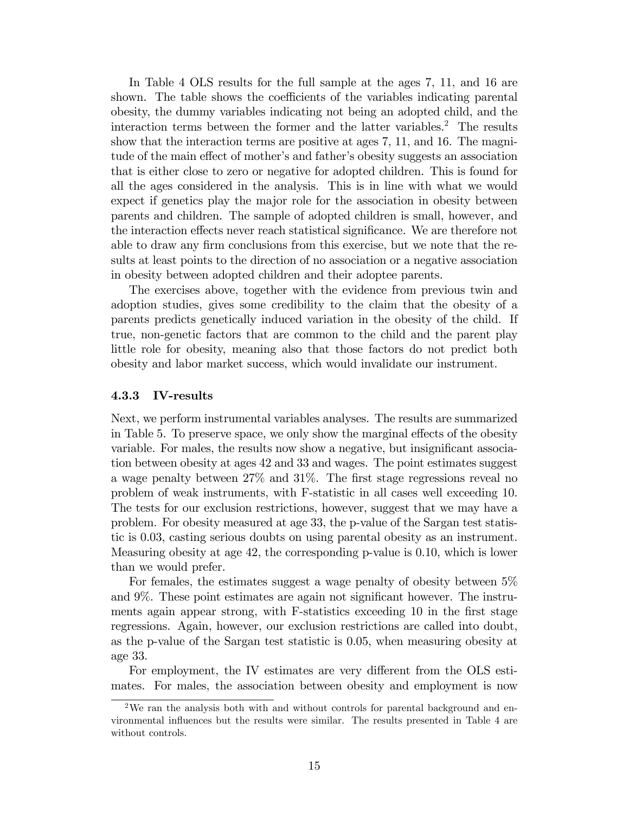In Table 4 OLS results for the full sample at the ages 7, 11, and 16 are shown. The table shows the coefficients of the variables indicating parental obesity, the dummy variables indicating not being an adopted child, and the interaction terms between the former and the latter variables.<sup>2</sup> The results show that the interaction terms are positive at ages 7, 11, and 16. The magnitude of the main effect of mother's and father's obesity suggests an association that is either close to zero or negative for adopted children. This is found for all the ages considered in the analysis. This is in line with what we would expect if genetics play the major role for the association in obesity between parents and children. The sample of adopted children is small, however, and the interaction effects never reach statistical significance. We are therefore not able to draw any firm conclusions from this exercise, but we note that the results at least points to the direction of no association or a negative association in obesity between adopted children and their adoptee parents.

The exercises above, together with the evidence from previous twin and adoption studies, gives some credibility to the claim that the obesity of a parents predicts genetically induced variation in the obesity of the child. If true, non-genetic factors that are common to the child and the parent play little role for obesity, meaning also that those factors do not predict both obesity and labor market success, which would invalidate our instrument.

#### 4.3.3 IV-results

Next, we perform instrumental variables analyses. The results are summarized in Table 5. To preserve space, we only show the marginal effects of the obesity variable. For males, the results now show a negative, but insignificant association between obesity at ages 42 and 33 and wages. The point estimates suggest a wage penalty between 27% and 31%. The first stage regressions reveal no problem of weak instruments, with F-statistic in all cases well exceeding 10. The tests for our exclusion restrictions, however, suggest that we may have a problem. For obesity measured at age 33, the p-value of the Sargan test statistic is 0.03, casting serious doubts on using parental obesity as an instrument. Measuring obesity at age 42, the corresponding p-value is 0.10, which is lower than we would prefer.

For females, the estimates suggest a wage penalty of obesity between 5% and 9%. These point estimates are again not significant however. The instruments again appear strong, with F-statistics exceeding 10 in the first stage regressions. Again, however, our exclusion restrictions are called into doubt, as the p-value of the Sargan test statistic is 0.05, when measuring obesity at age 33.

For employment, the IV estimates are very different from the OLS estimates. For males, the association between obesity and employment is now

<sup>&</sup>lt;sup>2</sup>We ran the analysis both with and without controls for parental background and environmental influences but the results were similar. The results presented in Table 4 are without controls.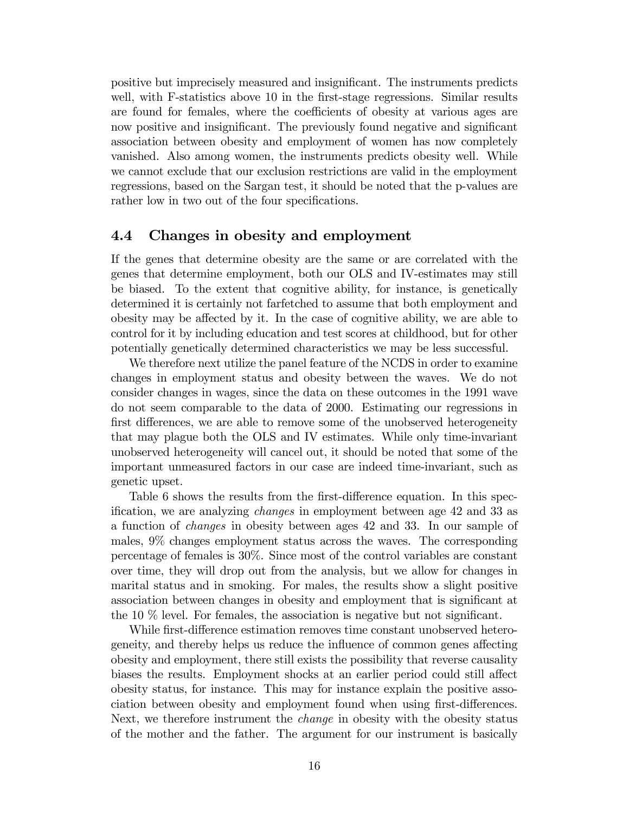positive but imprecisely measured and insignificant. The instruments predicts well, with F-statistics above 10 in the first-stage regressions. Similar results are found for females, where the coefficients of obesity at various ages are now positive and insignificant. The previously found negative and significant association between obesity and employment of women has now completely vanished. Also among women, the instruments predicts obesity well. While we cannot exclude that our exclusion restrictions are valid in the employment regressions, based on the Sargan test, it should be noted that the p-values are rather low in two out of the four specifications.

#### 4.4 Changes in obesity and employment

If the genes that determine obesity are the same or are correlated with the genes that determine employment, both our OLS and IV-estimates may still be biased. To the extent that cognitive ability, for instance, is genetically determined it is certainly not farfetched to assume that both employment and obesity may be affected by it. In the case of cognitive ability, we are able to control for it by including education and test scores at childhood, but for other potentially genetically determined characteristics we may be less successful.

We therefore next utilize the panel feature of the NCDS in order to examine changes in employment status and obesity between the waves. We do not consider changes in wages, since the data on these outcomes in the 1991 wave do not seem comparable to the data of 2000. Estimating our regressions in first differences, we are able to remove some of the unobserved heterogeneity that may plague both the OLS and IV estimates. While only time-invariant unobserved heterogeneity will cancel out, it should be noted that some of the important unmeasured factors in our case are indeed time-invariant, such as genetic upset.

Table 6 shows the results from the first-difference equation. In this specification, we are analyzing *changes* in employment between age 42 and 33 as a function of changes in obesity between ages 42 and 33. In our sample of males, 9% changes employment status across the waves. The corresponding percentage of females is 30%. Since most of the control variables are constant over time, they will drop out from the analysis, but we allow for changes in marital status and in smoking. For males, the results show a slight positive association between changes in obesity and employment that is significant at the 10  $\%$  level. For females, the association is negative but not significant.

While first-difference estimation removes time constant unobserved heterogeneity, and thereby helps us reduce the influence of common genes affecting obesity and employment, there still exists the possibility that reverse causality biases the results. Employment shocks at an earlier period could still affect obesity status, for instance. This may for instance explain the positive association between obesity and employment found when using first-differences. Next, we therefore instrument the *change* in obesity with the obesity status of the mother and the father. The argument for our instrument is basically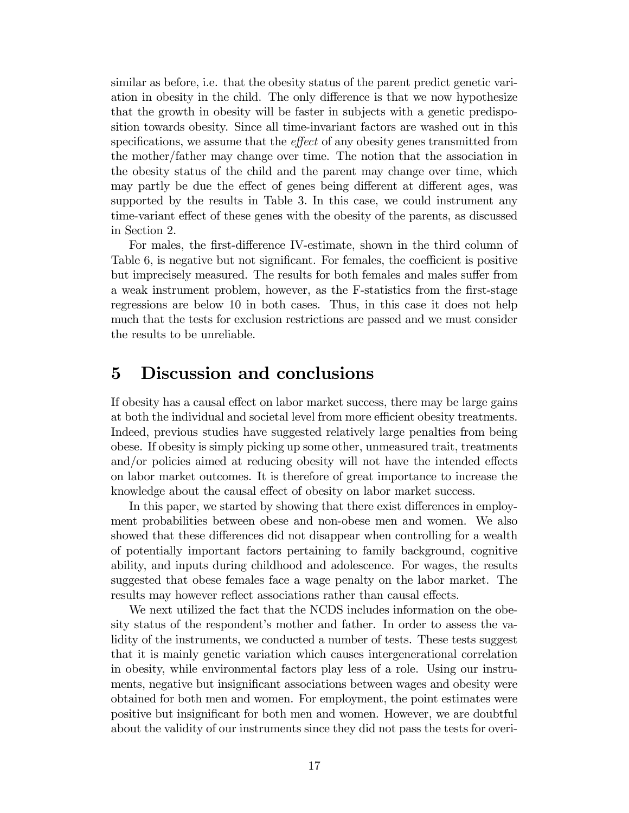similar as before, i.e. that the obesity status of the parent predict genetic variation in obesity in the child. The only difference is that we now hypothesize that the growth in obesity will be faster in subjects with a genetic predisposition towards obesity. Since all time-invariant factors are washed out in this specifications, we assume that the *effect* of any obesity genes transmitted from the mother/father may change over time. The notion that the association in the obesity status of the child and the parent may change over time, which may partly be due the effect of genes being different at different ages, was supported by the results in Table 3. In this case, we could instrument any time-variant effect of these genes with the obesity of the parents, as discussed in Section 2.

For males, the first-difference IV-estimate, shown in the third column of Table 6, is negative but not significant. For females, the coefficient is positive but imprecisely measured. The results for both females and males suffer from a weak instrument problem, however, as the F-statistics from the first-stage regressions are below 10 in both cases. Thus, in this case it does not help much that the tests for exclusion restrictions are passed and we must consider the results to be unreliable.

# 5 Discussion and conclusions

If obesity has a causal effect on labor market success, there may be large gains at both the individual and societal level from more efficient obesity treatments. Indeed, previous studies have suggested relatively large penalties from being obese. If obesity is simply picking up some other, unmeasured trait, treatments and/or policies aimed at reducing obesity will not have the intended effects on labor market outcomes. It is therefore of great importance to increase the knowledge about the causal effect of obesity on labor market success.

In this paper, we started by showing that there exist differences in employment probabilities between obese and non-obese men and women. We also showed that these differences did not disappear when controlling for a wealth of potentially important factors pertaining to family background, cognitive ability, and inputs during childhood and adolescence. For wages, the results suggested that obese females face a wage penalty on the labor market. The results may however reflect associations rather than causal effects.

We next utilized the fact that the NCDS includes information on the obesity status of the respondent's mother and father. In order to assess the validity of the instruments, we conducted a number of tests. These tests suggest that it is mainly genetic variation which causes intergenerational correlation in obesity, while environmental factors play less of a role. Using our instruments, negative but insignificant associations between wages and obesity were obtained for both men and women. For employment, the point estimates were positive but insignificant for both men and women. However, we are doubtful about the validity of our instruments since they did not pass the tests for overi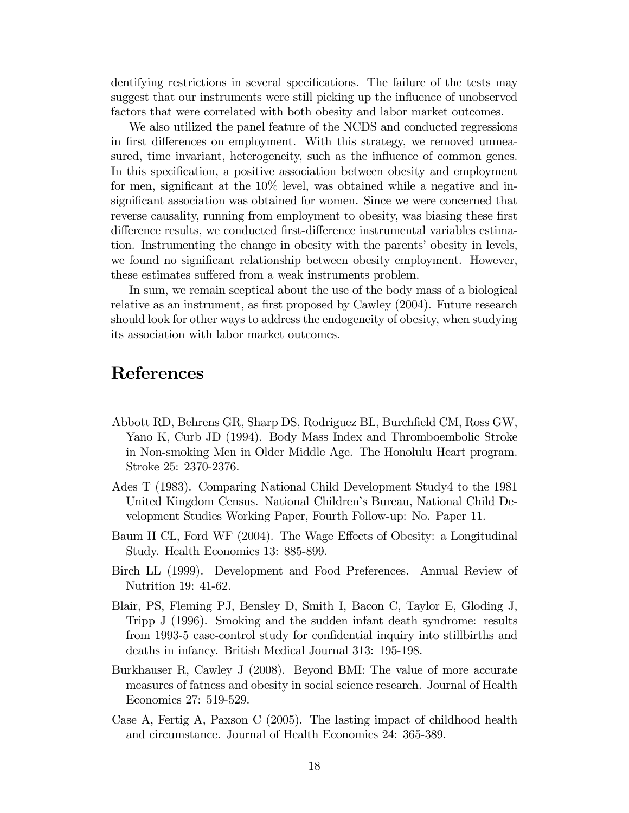dentifying restrictions in several specifications. The failure of the tests may suggest that our instruments were still picking up the influence of unobserved factors that were correlated with both obesity and labor market outcomes.

We also utilized the panel feature of the NCDS and conducted regressions in first differences on employment. With this strategy, we removed unmeasured, time invariant, heterogeneity, such as the influence of common genes. In this specification, a positive association between obesity and employment for men, significant at the  $10\%$  level, was obtained while a negative and insignificant association was obtained for women. Since we were concerned that reverse causality, running from employment to obesity, was biasing these first difference results, we conducted first-difference instrumental variables estimation. Instrumenting the change in obesity with the parents' obesity in levels, we found no significant relationship between obesity employment. However, these estimates suffered from a weak instruments problem.

In sum, we remain sceptical about the use of the body mass of a biological relative as an instrument, as first proposed by Cawley (2004). Future research should look for other ways to address the endogeneity of obesity, when studying its association with labor market outcomes.

# References

- Abbott RD, Behrens GR, Sharp DS, Rodriguez BL, Burchfield CM, Ross GW, Yano K, Curb JD (1994). Body Mass Index and Thromboembolic Stroke in Non-smoking Men in Older Middle Age. The Honolulu Heart program. Stroke 25: 2370-2376.
- Ades T (1983). Comparing National Child Development Study4 to the 1981 United Kingdom Census. National Children's Bureau, National Child Development Studies Working Paper, Fourth Follow-up: No. Paper 11.
- Baum II CL, Ford WF (2004). The Wage Effects of Obesity: a Longitudinal Study. Health Economics 13: 885-899.
- Birch LL (1999). Development and Food Preferences. Annual Review of Nutrition 19: 41-62.
- Blair, PS, Fleming PJ, Bensley D, Smith I, Bacon C, Taylor E, Gloding J, Tripp J (1996). Smoking and the sudden infant death syndrome: results from 1993-5 case-control study for confidential inquiry into stillbirths and deaths in infancy. British Medical Journal 313: 195-198.
- Burkhauser R, Cawley J (2008). Beyond BMI: The value of more accurate measures of fatness and obesity in social science research. Journal of Health Economics 27: 519-529.
- Case A, Fertig A, Paxson C (2005). The lasting impact of childhood health and circumstance. Journal of Health Economics 24: 365-389.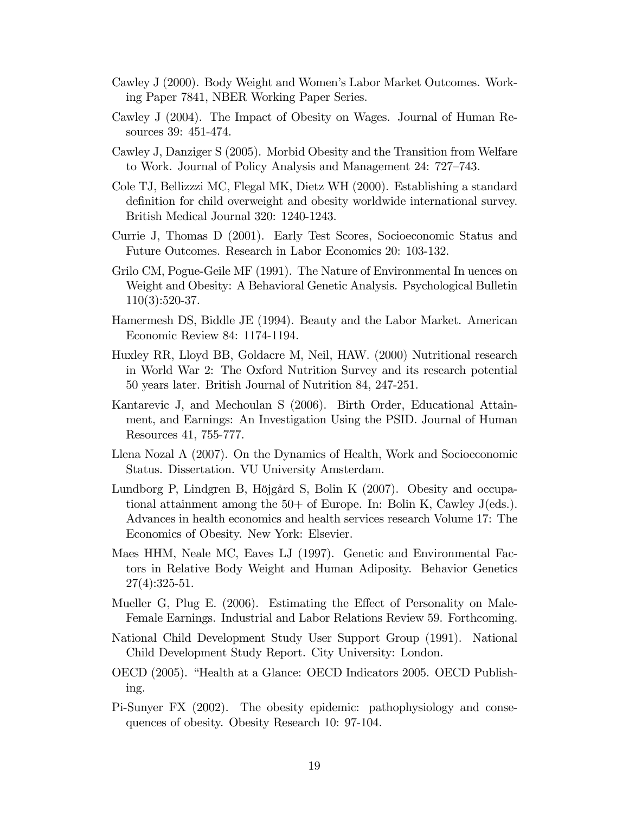- Cawley J (2000). Body Weight and Women's Labor Market Outcomes. Working Paper 7841, NBER Working Paper Series.
- Cawley J (2004). The Impact of Obesity on Wages. Journal of Human Resources 39: 451-474.
- Cawley J, Danziger S (2005). Morbid Obesity and the Transition from Welfare to Work. Journal of Policy Analysis and Management 24: 727–743.
- Cole TJ, Bellizzzi MC, Flegal MK, Dietz WH (2000). Establishing a standard definition for child overweight and obesity worldwide international survey. British Medical Journal 320: 1240-1243.
- Currie J, Thomas D (2001). Early Test Scores, Socioeconomic Status and Future Outcomes. Research in Labor Economics 20: 103-132.
- Grilo CM, Pogue-Geile MF (1991). The Nature of Environmental In uences on Weight and Obesity: A Behavioral Genetic Analysis. Psychological Bulletin 110(3):520-37.
- Hamermesh DS, Biddle JE (1994). Beauty and the Labor Market. American Economic Review 84: 1174-1194.
- Huxley RR, Lloyd BB, Goldacre M, Neil, HAW. (2000) Nutritional research in World War 2: The Oxford Nutrition Survey and its research potential 50 years later. British Journal of Nutrition 84, 247-251.
- Kantarevic J, and Mechoulan S (2006). Birth Order, Educational Attainment, and Earnings: An Investigation Using the PSID. Journal of Human Resources 41, 755-777.
- Llena Nozal A (2007). On the Dynamics of Health, Work and Socioeconomic Status. Dissertation. VU University Amsterdam.
- Lundborg P, Lindgren B, Höjgård S, Bolin K (2007). Obesity and occupational attainment among the 50+ of Europe. In: Bolin K, Cawley J(eds.). Advances in health economics and health services research Volume 17: The Economics of Obesity. New York: Elsevier.
- Maes HHM, Neale MC, Eaves LJ (1997). Genetic and Environmental Factors in Relative Body Weight and Human Adiposity. Behavior Genetics  $27(4):325-51.$
- Mueller G, Plug E. (2006). Estimating the Effect of Personality on Male-Female Earnings. Industrial and Labor Relations Review 59. Forthcoming.
- National Child Development Study User Support Group (1991). National Child Development Study Report. City University: London.
- OECD (2005). "Health at a Glance: OECD Indicators 2005. OECD Publishing.
- Pi-Sunyer FX (2002). The obesity epidemic: pathophysiology and consequences of obesity. Obesity Research 10: 97-104.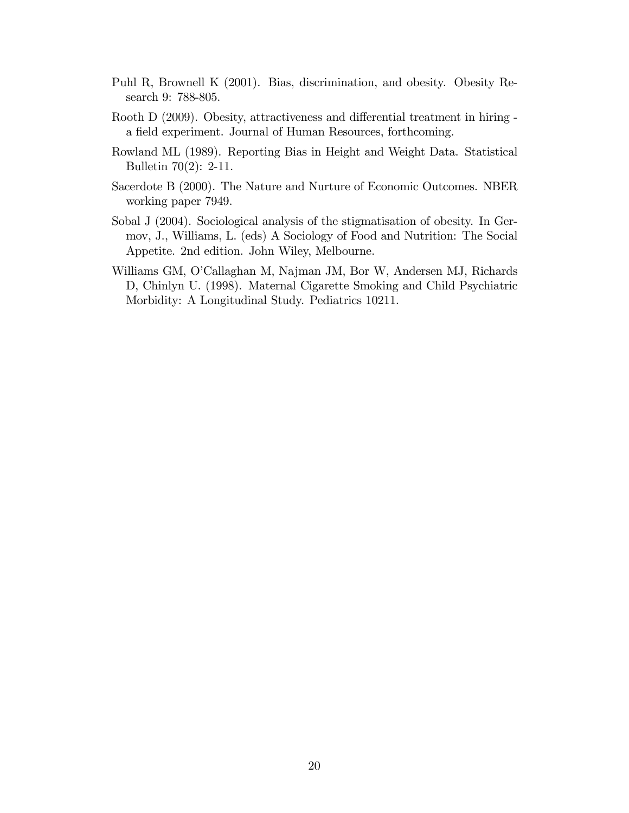- Puhl R, Brownell K (2001). Bias, discrimination, and obesity. Obesity Research 9: 788-805.
- Rooth D (2009). Obesity, attractiveness and differential treatment in hiring a field experiment. Journal of Human Resources, forthcoming.
- Rowland ML (1989). Reporting Bias in Height and Weight Data. Statistical Bulletin 70(2): 2-11.
- Sacerdote B (2000). The Nature and Nurture of Economic Outcomes. NBER working paper 7949.
- Sobal J (2004). Sociological analysis of the stigmatisation of obesity. In Germov, J., Williams, L. (eds) A Sociology of Food and Nutrition: The Social Appetite. 2nd edition. John Wiley, Melbourne.
- Williams GM, O'Callaghan M, Najman JM, Bor W, Andersen MJ, Richards D, Chinlyn U. (1998). Maternal Cigarette Smoking and Child Psychiatric Morbidity: A Longitudinal Study. Pediatrics 10211.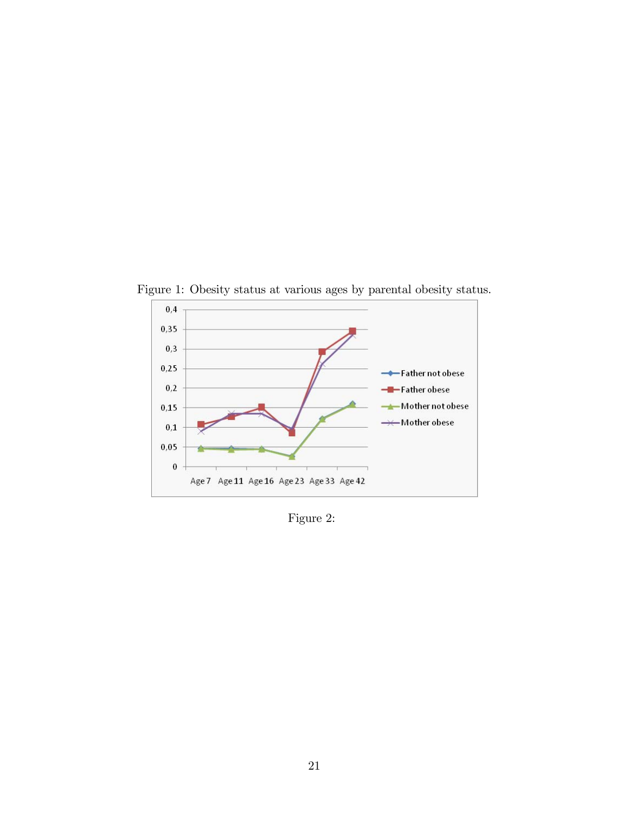

Figure 1: Obesity status at various ages by parental obesity status.

Figure 2: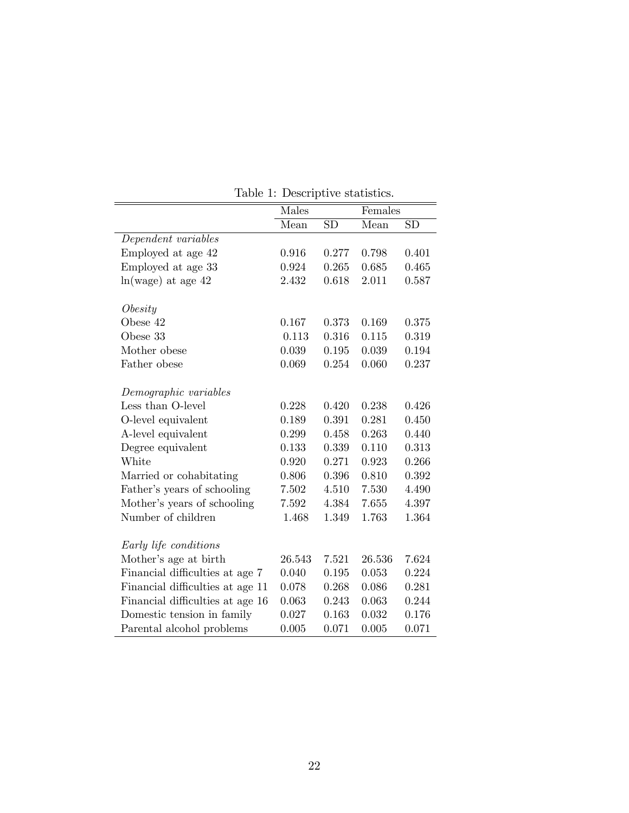|                                  | Males  |                        | Females |                        |
|----------------------------------|--------|------------------------|---------|------------------------|
|                                  | Mean   | $\overline{\text{SD}}$ | Mean    | $\overline{\text{SD}}$ |
| Dependent variables              |        |                        |         |                        |
| Employed at age 42               | 0.916  | 0.277                  | 0.798   | 0.401                  |
| Employed at age 33               | 0.924  | 0.265                  | 0.685   | 0.465                  |
| $ln(wage)$ at age $42$           | 2.432  | 0.618                  | 2.011   | 0.587                  |
| Obesity                          |        |                        |         |                        |
| Obese 42                         | 0.167  | 0.373                  | 0.169   | 0.375                  |
| Obese 33                         | 0.113  | 0.316                  | 0.115   | 0.319                  |
| Mother obese                     | 0.039  | 0.195                  | 0.039   | 0.194                  |
| Father obese                     | 0.069  | 0.254                  | 0.060   | 0.237                  |
| Demographic variables            |        |                        |         |                        |
| Less than O-level                | 0.228  | 0.420                  | 0.238   | 0.426                  |
| O-level equivalent               | 0.189  | 0.391                  | 0.281   | 0.450                  |
| A-level equivalent               | 0.299  | 0.458                  | 0.263   | 0.440                  |
| Degree equivalent                | 0.133  | 0.339                  | 0.110   | 0.313                  |
| White                            | 0.920  | 0.271                  | 0.923   | 0.266                  |
| Married or cohabitating          | 0.806  | 0.396                  | 0.810   | 0.392                  |
| Father's years of schooling      | 7.502  | 4.510                  | 7.530   | 4.490                  |
| Mother's years of schooling      | 7.592  | 4.384                  | 7.655   | 4.397                  |
| Number of children               | 1.468  | 1.349                  | 1.763   | 1.364                  |
| Early life conditions            |        |                        |         |                        |
| Mother's age at birth            | 26.543 | 7.521                  | 26.536  | 7.624                  |
| Financial difficulties at age 7  | 0.040  | 0.195                  | 0.053   | 0.224                  |
| Financial difficulties at age 11 | 0.078  | 0.268                  | 0.086   | 0.281                  |
| Financial difficulties at age 16 | 0.063  | 0.243                  | 0.063   | 0.244                  |
| Domestic tension in family       | 0.027  | 0.163                  | 0.032   | 0.176                  |
| Parental alcohol problems        | 0.005  | 0.071                  | 0.005   | 0.071                  |

Table 1: Descriptive statistics.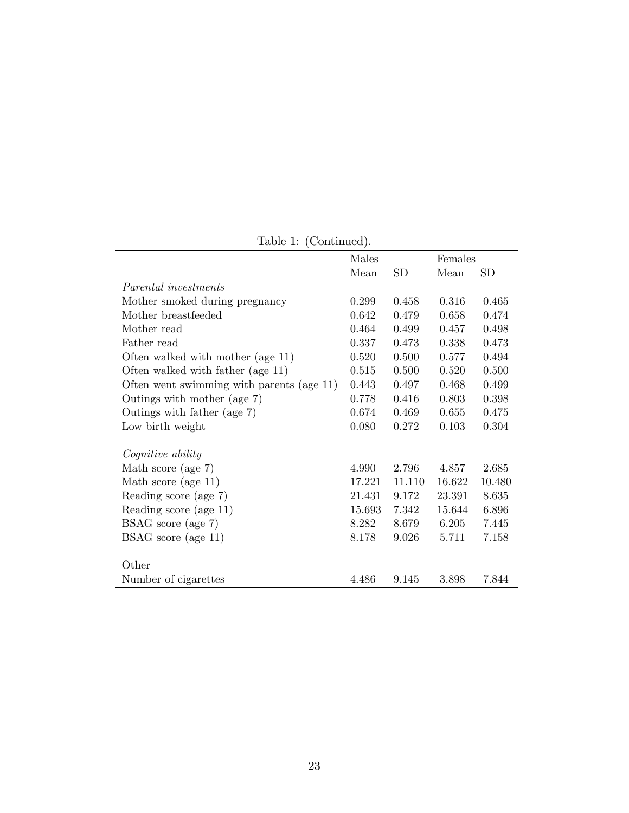|                                           | Males  |           | Females |        |
|-------------------------------------------|--------|-----------|---------|--------|
|                                           | Mean   | <b>SD</b> | Mean    | SD     |
| Parental investments                      |        |           |         |        |
| Mother smoked during pregnancy            | 0.299  | 0.458     | 0.316   | 0.465  |
| Mother breastfeeded                       | 0.642  | 0.479     | 0.658   | 0.474  |
| Mother read                               | 0.464  | 0.499     | 0.457   | 0.498  |
| Father read                               | 0.337  | 0.473     | 0.338   | 0.473  |
| Often walked with mother (age 11)         | 0.520  | 0.500     | 0.577   | 0.494  |
| Often walked with father (age 11)         | 0.515  | 0.500     | 0.520   | 0.500  |
| Often went swimming with parents (age 11) | 0.443  | 0.497     | 0.468   | 0.499  |
| Outings with mother (age 7)               | 0.778  | 0.416     | 0.803   | 0.398  |
| Outings with father (age 7)               | 0.674  | 0.469     | 0.655   | 0.475  |
| Low birth weight                          | 0.080  | 0.272     | 0.103   | 0.304  |
| Cognitive ability                         |        |           |         |        |
| Math score (age 7)                        | 4.990  | 2.796     | 4.857   | 2.685  |
| Math score (age 11)                       | 17.221 | 11.110    | 16.622  | 10.480 |
| Reading score (age 7)                     | 21.431 | 9.172     | 23.391  | 8.635  |
| Reading score (age 11)                    | 15.693 | 7.342     | 15.644  | 6.896  |
| BSAG score (age 7)                        | 8.282  | 8.679     | 6.205   | 7.445  |
| BSAG score (age 11)                       | 8.178  | 9.026     | 5.711   | 7.158  |
|                                           |        |           |         |        |
| Other                                     |        |           |         |        |
| Number of cigarettes                      | 4.486  | 9.145     | 3.898   | 7.844  |

Table 1: (Continued).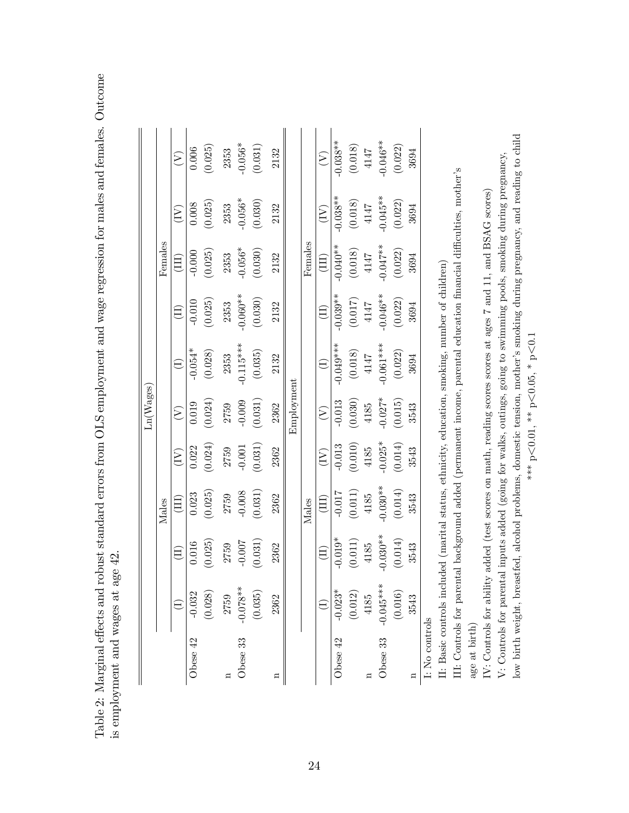Table 2: Marginal effects and robust standard errors from OLS employment and wage regression for males and females. Outcome Table 2: Marginal effects and robust standard errors from OLS employment and wage regression for males and females. Outcome is employment and wages at age 42. is employment and wages at age 42.

|                |             |                            |                |                                      | $\text{Ln}(\text{Wages})$           |                                                                                                 |            |                              |                                      |                                                |
|----------------|-------------|----------------------------|----------------|--------------------------------------|-------------------------------------|-------------------------------------------------------------------------------------------------|------------|------------------------------|--------------------------------------|------------------------------------------------|
|                |             |                            | Males          |                                      |                                     |                                                                                                 |            | Females                      |                                      |                                                |
|                |             | $\left( \mathrm{H}\right)$ | $\Xi$          | $\left(\overline{\mathbf{I}}\right)$ | $\left( \sum_{i=1}^{n} a_i \right)$ | $\ominus$                                                                                       | E)         | $\left( \mathrm{H}\right)$   | $(\widetilde{\Xi})$                  | $\left( \sum_{i=1}^{n} a_i \right)$            |
| Obese 42       | $-0.032$    | 0.016                      | 0.023          | 0.022                                | 0.019                               | $-0.054*$                                                                                       | $-0.010$   | $-0.000$                     | 0.008                                | 0.006                                          |
|                | (0.028)     | (0.025)                    | (0.025)        | (0.024)                              | (0.024)                             | (0.028)                                                                                         | (0.025)    | (0.025)                      | (0.025)                              | (0.025)                                        |
| д              | 2759        |                            | 2759<br>-0.008 | 2759                                 | 2759                                | 2353                                                                                            | 2353       | 2353                         | 2353                                 | 2353                                           |
| Obese 33       | $-0.078**$  | 2759<br>-0.007             |                | $-0.001$                             | $-0.009$                            | $-0.115***$                                                                                     | $-0.060**$ | $-0.056*$                    | $-0.056*$                            | $-0.056*$                                      |
|                | (0.035)     | (0.031)                    | (0.031)        | (0.031)                              | (0.031)                             | (0.035)                                                                                         | (0.030)    | (0.030)                      | (0.030)                              | (0.031)                                        |
|                | 2362        | 2362                       | 2362           | 2362                                 | 2362                                | 2132                                                                                            | 2132       | 2132                         | 2132                                 | 2132                                           |
|                |             |                            |                |                                      | Employment                          |                                                                                                 |            |                              |                                      |                                                |
|                |             |                            | Males          |                                      |                                     |                                                                                                 |            | $\rm{Females}$               |                                      |                                                |
|                |             | $\widehat{\Xi}$            | $\Xi$          | $\left(\frac{1}{2}\right)$           | $\bigtriangledown$                  |                                                                                                 | E)         | $\left( \mathrm{III}\right)$ | $\left(\overline{\mathrm{I}}\right)$ | $\widehat{\mathcal{E}}$                        |
| Obese 42       | $-0.023*$   | $-0.019*$                  | $-0.017$       | $-0.013$                             | $-0.013$                            | $-0.049***$                                                                                     | $-0.039**$ | $-0.040**$                   | $-0.038**$                           | $0.038**$                                      |
|                | (0.012)     | (0.011)                    | (0.011)        | (0.010)                              | (0.030)                             | (0.018)                                                                                         | (0.017)    | (0.018)                      | (0.018)                              | $\begin{array}{c} (0.018) \\ 4147 \end{array}$ |
|                | 4185        | 4185                       | $4185$         | 4185                                 | 4185                                | 4147                                                                                            | 4147       | $4147$                       | $4147$                               |                                                |
| Obese 33       | $-0.045***$ | $-0.030**$                 | $-0.030**$     | $-0.025*$                            | $-0.027*$                           | $-0.061***$                                                                                     | $-0.046**$ | $-0.047**$                   | $-0.045**$                           | $-0.046**$                                     |
|                | (0.016)     | (0.014)                    | (0.014)        | (0.014)                              | (0.015)                             | (0.022)                                                                                         | (0.022)    | (0.022)                      | (0.022)                              | (0.022)                                        |
|                | 3543        | 3543                       | 3543           | 3543                                 | 3543                                | 3694                                                                                            | 3694       | 3694                         | 3694                                 | 3694                                           |
| I: No controls |             |                            |                |                                      |                                     |                                                                                                 |            |                              |                                      |                                                |
|                |             |                            |                |                                      |                                     | II: Basic controls included (marital status, ethnicity, education, smoking, number of children) |            |                              |                                      |                                                |

III: Controls for parental background added (permanent income, parental education financial difficulties, mother's III: Controls for parental background added (permanent income, parental education Önancial di¢ culties, motherís age at birth)

V: Controls for parental inputs added (going for walks, outings, going to swimming pools, smoking during pregnancy, V: Controls for parental inputs added (going for walks, outings, going to swimming pools, smoking during pregnancy, IV: Controls for ability added (test scores on math, reading scores scores at ages 7 and 11, and BSAG scores) IV: Controls for ability added (test scores on math, reading scores scores at ages 7 and 11, and BSAG scores)

low birth weight, breastfed, alcohol problems, domestic tension, mother's smoking during pregnancy, and reading to child low birth weight, breastfed, alcohol problems, domestic tension, motherís smoking during pregnancy, and reading to child  $\overline{\textrm{C}}$  $< 0.05, * p$  $<$  0.01, \*\* p $\cdot$  $\mathbb{A}^*_{**}$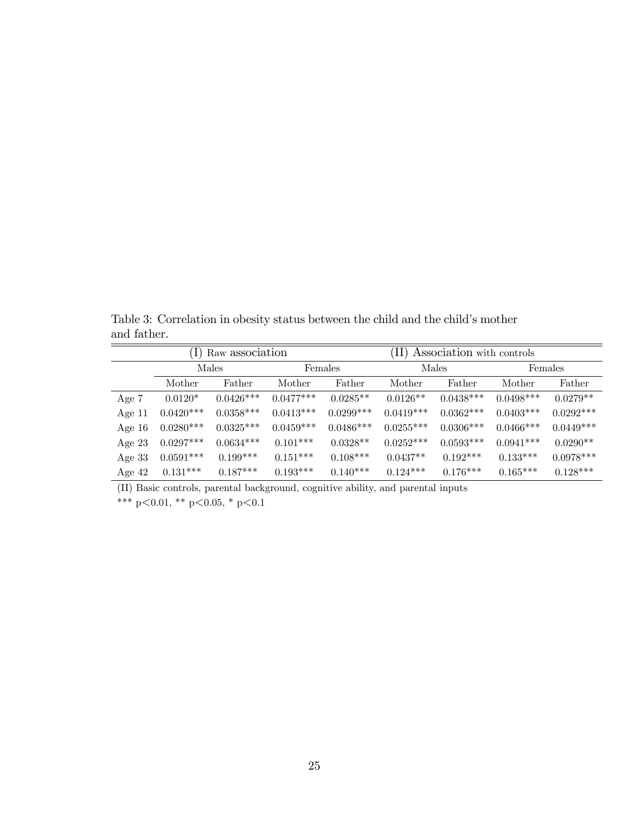Table 3: Correlation in obesity status between the child and the child's mother and father.

|          | II) Association with controls<br>Raw association |             |             |             |             |             |             |             |
|----------|--------------------------------------------------|-------------|-------------|-------------|-------------|-------------|-------------|-------------|
|          |                                                  | Males       |             | Females     |             | Males       |             | Females     |
|          | Mother                                           | Father      | Mother      | Father      | Mother      | Father      | Mother      | Father      |
| Age 7    | $0.0120*$                                        | $0.0426***$ | $0.0477***$ | $0.0285**$  | $0.0126**$  | $0.0438***$ | $0.0498***$ | $0.0279**$  |
| Age $11$ | $0.0420***$                                      | $0.0358***$ | $0.0413***$ | $0.0299***$ | $0.0419***$ | $0.0362***$ | $0.0403***$ | $0.0292***$ |
| Age $16$ | $0.0280***$                                      | $0.0325***$ | $0.0459***$ | $0.0486***$ | $0.0255***$ | $0.0306***$ | $0.0466***$ | $0.0449***$ |
| Age $23$ | $0.0297***$                                      | $0.0634***$ | $0.101***$  | $0.0328**$  | $0.0252***$ | $0.0593***$ | $0.0941***$ | $0.0290**$  |
| Age $33$ | $0.0591***$                                      | $0.199***$  | $0.151***$  | $0.108***$  | $0.0437**$  | $0.192***$  | $0.133***$  | $0.0978***$ |
| Age $42$ | $0.131***$                                       | $0.187***$  | $0.193***$  | $0.140***$  | $0.124***$  | $0.176***$  | $0.165***$  | $0.128***$  |

(II) Basic controls, parental background, cognitive ability, and parental inputs

\*\*\* p<0.01, \*\* p<0.05, \* p<0.1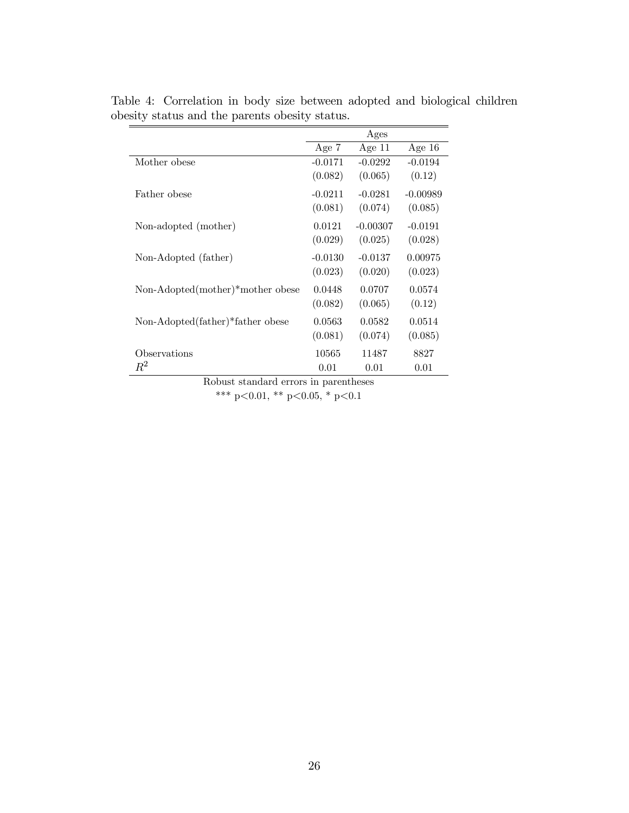|                                  |           | Ages       |            |
|----------------------------------|-----------|------------|------------|
|                                  | Age 7     | Age $11$   | Age $16$   |
| Mother obese                     | $-0.0171$ | $-0.0292$  | $-0.0194$  |
|                                  | (0.082)   | (0.065)    | (0.12)     |
| Father obese                     | $-0.0211$ | $-0.0281$  | $-0.00989$ |
|                                  | (0.081)   | (0.074)    | (0.085)    |
| Non-adopted (mother)             | 0.0121    | $-0.00307$ | $-0.0191$  |
|                                  | (0.029)   | (0.025)    | (0.028)    |
| Non-Adopted (father)             | $-0.0130$ | $-0.0137$  | 0.00975    |
|                                  | (0.023)   | (0.020)    | (0.023)    |
| Non-Adopted(mother)*mother obese | 0.0448    | 0.0707     | 0.0574     |
|                                  | (0.082)   | (0.065)    | (0.12)     |
| Non-Adopted(father)*father obese | 0.0563    | 0.0582     | 0.0514     |
|                                  | (0.081)   | (0.074)    | (0.085)    |
| Observations                     | 10565     | 11487      | 8827       |
| $\,R^2$                          | 0.01      | 0.01       | 0.01       |

Table 4: Correlation in body size between adopted and biological children obesity status and the parents obesity status.

Robust standard errors in parentheses

\*\*\* p<0.01, \*\* p<0.05, \* p<0.1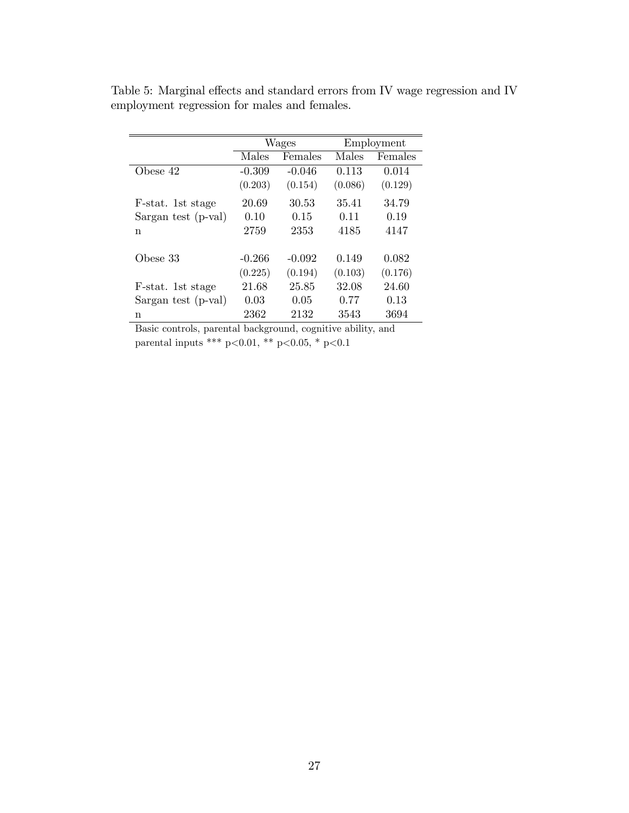|                     |          | Wages    |         | Employment |
|---------------------|----------|----------|---------|------------|
|                     | Males    | Females  | Males   | Females    |
| Obese 42            | $-0.309$ | $-0.046$ | 0.113   | 0.014      |
|                     | (0.203)  | (0.154)  | (0.086) | (0.129)    |
| F-stat. 1st stage   | 20.69    | 30.53    | 35.41   | 34.79      |
| Sargan test (p-val) | 0.10     | 0.15     | 0.11    | 0.19       |
| n                   | 2759     | 2353     | 4185    | 4147       |
| Obese 33            | $-0.266$ | $-0.092$ | 0.149   | 0.082      |
|                     | (0.225)  | (0.194)  | (0.103) | (0.176)    |
| F-stat. 1st stage   | 21.68    | 25.85    | 32.08   | 24.60      |
| Sargan test (p-val) | 0.03     | 0.05     | 0.77    | 0.13       |
| n                   | 2362     | 2132     | 3543    | 3694       |

Table 5: Marginal effects and standard errors from IV wage regression and IV employment regression for males and females.

Basic controls, parental background, cognitive ability, and parental inputs \*\*\* p<0.01, \*\* p<0.05, \* p<0.1